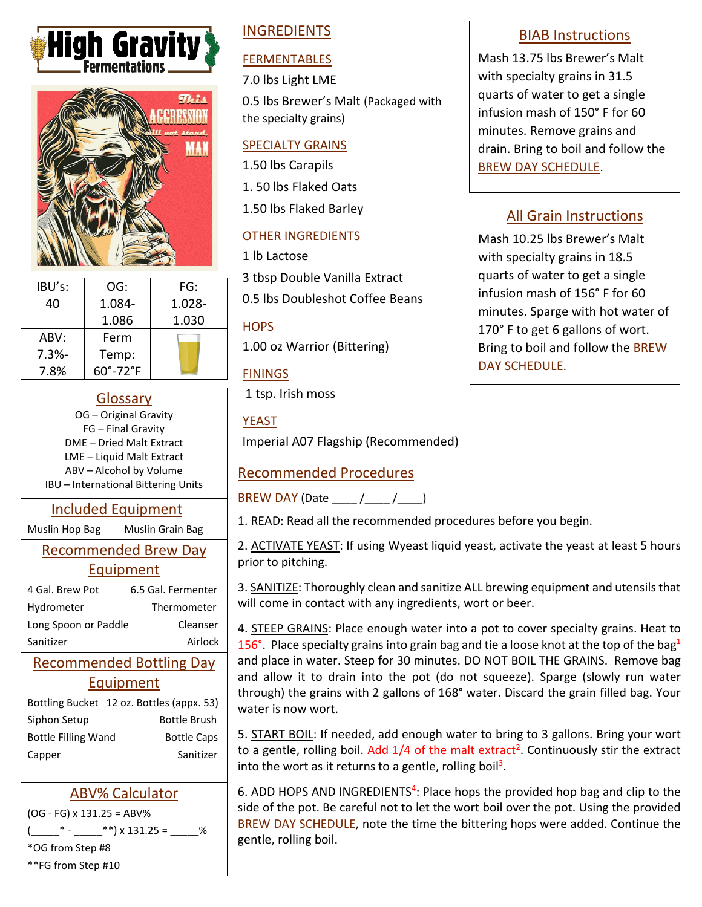



| IBU's:   | OG:                     | FG:       |
|----------|-------------------------|-----------|
| 40       | 1.084-                  | $1.028 -$ |
|          | 1.086                   | 1.030     |
| ABV:     | Ferm                    |           |
| $7.3% -$ | Temp:                   |           |
| 7.8%     | $60^\circ - 72^\circ F$ |           |

## Glossary

OG – Original Gravity FG – Final Gravity DME – Dried Malt Extract LME – Liquid Malt Extract ABV – Alcohol by Volume IBU – International Bittering Units

## Included Equipment

Muslin Hop Bag Muslin Grain Bag

## Recommended Brew Day Equipment

| 4 Gal. Brew Pot      | 6.5 Gal. Fermenter |
|----------------------|--------------------|
| Hydrometer           | Thermometer        |
| Long Spoon or Paddle | Cleanser           |
| Sanitizer            | Airlock            |

# Recommended Bottling Day Equipment

|                            | Bottling Bucket 12 oz. Bottles (appx. 53) |  |
|----------------------------|-------------------------------------------|--|
| Siphon Setup               | <b>Bottle Brush</b>                       |  |
| <b>Bottle Filling Wand</b> | <b>Bottle Caps</b>                        |  |
| Capper                     | Sanitizer                                 |  |

# ABV% Calculator

(OG - FG) x 131.25 = ABV%  $\frac{1}{2}$ \* - \_\_\_\_\_\_\*\*) x 131.25 = \_\_\_\_% \*OG from Step #8 \*\*FG from Step #10

# INGREDIENTS

# FERMENTABLES

7.0 lbs Light LME

0.5 lbs Brewer's Malt (Packaged with the specialty grains)

#### SPECIALTY GRAINS

1.50 lbs Carapils

1. 50 lbs Flaked Oats

1.50 lbs Flaked Barley

## OTHER INGREDIENTS

1 lb Lactose

3 tbsp Double Vanilla Extract

0.5 lbs Doubleshot Coffee Beans

## **HOPS**

1.00 oz Warrior (Bittering)

## **FININGS**

1 tsp. Irish moss

## YEAST

Imperial A07 Flagship (Recommended)

# Recommended Procedures

BREW DAY (Date \_\_\_\_ /\_\_\_\_ /\_\_\_\_)

1. READ: Read all the recommended procedures before you begin.

2. ACTIVATE YEAST: If using Wyeast liquid yeast, activate the yeast at least 5 hours prior to pitching.

3. SANITIZE: Thoroughly clean and sanitize ALL brewing equipment and utensils that will come in contact with any ingredients, wort or beer.

4. STEEP GRAINS: Place enough water into a pot to cover specialty grains. Heat to 156°. Place specialty grains into grain bag and tie a loose knot at the top of the bag<sup>1</sup> and place in water. Steep for 30 minutes. DO NOT BOIL THE GRAINS. Remove bag and allow it to drain into the pot (do not squeeze). Sparge (slowly run water through) the grains with 2 gallons of 168° water. Discard the grain filled bag. Your water is now wort.

5. START BOIL: If needed, add enough water to bring to 3 gallons. Bring your wort to a gentle, rolling boil. Add 1/4 of the malt extract<sup>2</sup>. Continuously stir the extract into the wort as it returns to a gentle, rolling boil<sup>3</sup>.

6. ADD HOPS AND INGREDIENTS<sup>4</sup>: Place hops the provided hop bag and clip to the side of the pot. Be careful not to let the wort boil over the pot. Using the provided BREW DAY SCHEDULE, note the time the bittering hops were added. Continue the gentle, rolling boil.

## BIAB Instructions

Mash 13.75 lbs Brewer's Malt with specialty grains in 31.5 quarts of water to get a single infusion mash of 150° F for 60 minutes. Remove grains and drain. Bring to boil and follow the BREW DAY SCHEDULE.

# All Grain Instructions

Mash 10.25 lbs Brewer's Malt with specialty grains in 18.5 quarts of water to get a single infusion mash of 156° F for 60 minutes. Sparge with hot water of 170° F to get 6 gallons of wort. Bring to boil and follow the BREW DAY SCHEDULE.